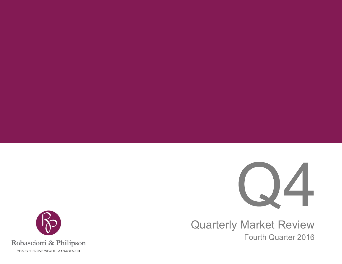

Quarterly Market Review Fourth Quarter 2016

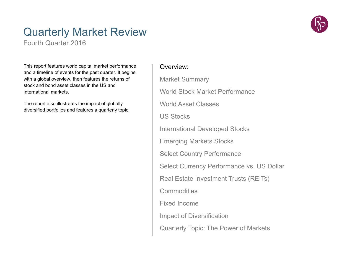## Quarterly Market Review

Fourth Quarter 2016

This report features world capital market performance and a timeline of events for the past quarter. It begins with a global overview, then features the returns of stock and bond asset classes in the US and international markets.

The report also illustrates the impact of globally diversified portfolios and features a quarterly topic.

### Overview:

Market Summary World Stock Market PerformanceWorld Asset ClassesUS StocksInternational Developed Stocks Emerging Markets Stocks Select Country Performance Select Currency Performance vs. US Dollar Real Estate Investment Trusts (REITs) **Commodities** Fixed Income Impact of Diversification Quarterly Topic: The Power of Markets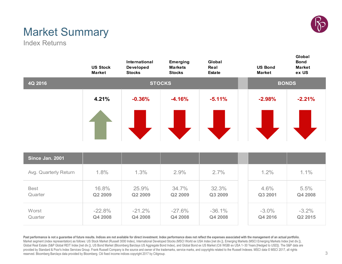

## Market Summary

Index Returns

|                        | <b>US Stock</b><br><b>Market</b> | International<br><b>Developed</b><br><b>Stocks</b> | <b>Emerging</b><br><b>Markets</b><br><b>Stocks</b> | Global<br>Real<br><b>Estate</b> | <b>US Bond</b><br><b>Market</b> | Global<br><b>Bond</b><br><b>Market</b><br>ex US |
|------------------------|----------------------------------|----------------------------------------------------|----------------------------------------------------|---------------------------------|---------------------------------|-------------------------------------------------|
| 4Q 2016                |                                  |                                                    | <b>STOCKS</b>                                      |                                 |                                 | <b>BONDS</b>                                    |
|                        | 4.21%                            | $-0.36%$                                           | $-4.16%$                                           | $-5.11%$                        | $-2.98%$                        | $-2.21%$                                        |
|                        |                                  |                                                    |                                                    |                                 |                                 |                                                 |
| Since Jan. 2001        |                                  |                                                    |                                                    |                                 |                                 |                                                 |
| Avg. Quarterly Return  | 1.8%                             | 1.3%                                               | 2.9%                                               | 2.7%                            | 1.2%                            | 1.1%                                            |
| <b>Best</b><br>Quarter | 16.8%<br>Q2 2009                 | 25.9%<br>Q2 2009                                   | 34.7%<br>Q2 2009                                   | 32.3%<br>Q3 2009                | 4.6%<br>Q3 2001                 | 5.5%<br>Q4 2008                                 |
| Worst<br>Quarter       | $-22.8%$<br>Q4 2008              | $-21.2%$<br>Q4 2008                                | $-27.6%$<br>Q4 2008                                | $-36.1%$<br>Q4 2008             | $-3.0\%$<br>Q4 2016             | $-3.2\%$<br>Q2 2015                             |

Past performance is not a guarantee of future results. Indices are not available for direct investment. Index performance does not reflect the expenses associated with the management of an actual portfolio. Market segment (index representation) as follows: US Stock Market (Russell 3000 Index), International Developed Stocks (MSCI World ex USA Index [net div.]), Emerging Markets (MSCI Emerging Markets Index [net div.]), Global Real Estate (S&P Global REIT Index [net div.]), US Bond Market (Bloomberg Barclays US Aggregate Bond Index), and Global Bond ex US Market (Citi WGBI ex USA 1−30 Years [Hedged to USD]). The S&P data are provided by Standard & Poor's Index Services Group. Frank Russell Company is the source and owner of the trademarks, service marks, and copyrights related to the Russell Indexes. MSCI data © MSCI 2017, all rights reserved. Bloomberg Barclays data provided by Bloomberg. Citi fixed income indices copyright 2017 by Citigroup.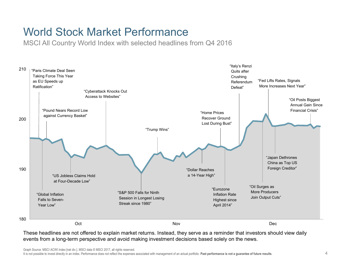### World Stock Market Performance

MSCI All Country World Index with selected headlines from Q4 2016



These headlines are not offered to explain market returns. Instead, they serve as a reminder that investors should view daily events from a long-term perspective and avoid making investment decisions based solely on the news.

Graph Source: MSCI ACWI Index [net div.]. MSCI data © MSCI 2017, all rights reserved.

It is not possible to invest directly in an index. Performance does not reflect the expenses associated with management of an actual portfolio. **Past performance is not a guarantee of future results**.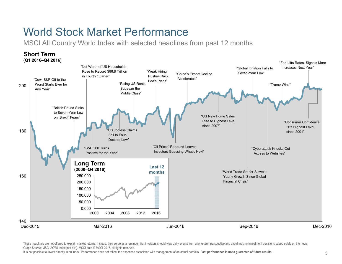### World Stock Market Performance

MSCI All Country World Index with selected headlines from past 12 months



These headlines are not offered to explain market returns. Instead, they serve as a reminder that investors should view daily events from a long-term perspective and avoid making investment decisions based solely on the ne Graph Source: MSCI ACWI Index [net div.]. MSCI data © MSCI 2017, all rights reserved.

It is not possible to invest directly in an index. Performance does not reflect the expenses associated with management of an actual portfolio. **Past performance is not a guarantee of future results**.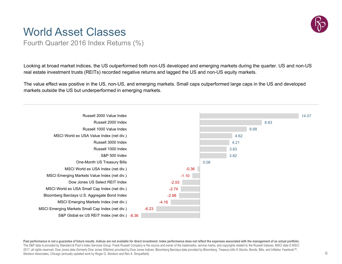### World Asset Classes

Fourth Quarter 2016 Index Returns (%)

Looking at broad market indices, the US outperformed both non-US developed and emerging markets during the quarter. US and non-US real estate investment trusts (REITs) recorded negative returns and lagged the US and non-US equity markets.

The value effect was positive in the US, non-US, and emerging markets. Small caps outperformed large caps in the US and developed markets outside the US but underperformed in emerging markets.



Past performance is not a guarantee of future results. Indices are not available for direct investment. Index performance does not reflect the expenses associated with the management of an actual portfolio. The S&P data is provided by Standard & Poor's Index Services Group. Frank Russell Company is the source and owner of the trademarks, service marks, and copyrights related to the Russell Indexes. MSCI data © MSCI 2017, all rights reserved. Dow Jones data (formerly Dow Jones Wilshire) provided by Dow Jones Indices. Bloomberg Barclays data provided by Bloomberg. Treasury bills © Stocks, Bonds, Bills, and Inflation Yearbook™, Ibbotson Associates, Chicago (annually updated work by Roger G. Ibbotson and Rex A. Sinquefield).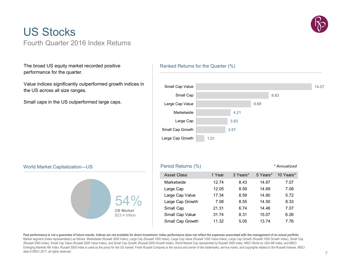

### US StocksFourth Quarter 2016 Index Returns

The broad US equity market recorded positive performance for the quarter.

Value indices significantly outperformed growth indices in the US across all size ranges.

Small caps in the US outperformed large caps.

#### Ranked Returns for the Quarter (%)



### World Market Capitalization—US Period Returns (%) *\* Annualized*



Asset Class 1 Year 3 Years\* 5 Years\* 10 Years\* Marketwide 12.74 8.43 14.67 7.07 Large Cap  $12.05$  8.59  $14.69$  7.08 Large Cap Value  $17.34$  8.59 14.80 5.72 Large Cap Growth 7.08 8.55 14.50 8.33 Small Cap 21.31 6.74 14.46 7.07 Small Cap Value 31.74 8.31 15.07 6.26 Small Cap Growth 11.32 5.05 13.74 7.76

**Past performance is not a guarantee of future results. Indices are not available for direct investment. Index performance does not reflect the expenses associated with the management of an actual portfolio**. Market segment (index representation) as follows: Marketwide (Russell 3000 Index), Large Cap (Russell 1000 Index), Large Cap Value (Russell 1000 Value Index), Large Cap Growth (Russell 1000 Growth Index), Small Cap (Russell 2000 Index), Small Cap Value (Russell 2000 Value Index), and Small Cap Growth (Russell 2000 Growth Index). World Market Cap represented by Russell 3000 Index, MSCI World ex USA IMI Index, and MSCI Emerging Markets IMI Index. Russell 3000 Index is used as the proxy for the US market. Frank Russell Company is the source and owner of the trademarks, service marks, and copyrights related to the Russell Indexes. MSCI data © MSCI 2017, all rights reserved.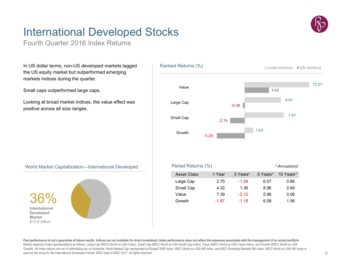## International Developed Stocks

Fourth Quarter 2016 Index Returns

In US dollar terms, non-US developed markets lagged the US equity market but outperformed emerging markets indices during the quarter.

Small caps outperformed large caps.

Looking at broad market indices, the value effect was positive across all size ranges.





Past performance is not a quarantee of future results. Indices are not available for direct investment. Index performance does not reflect the expenses associated with the management of an actual portfolio. Market segment (index representation) as follows: Large Cap (MSCI World ex USA Index), Small Cap (MSCI World ex USA Small Cap Index), Value (MSCI World ex USA Value Index), and Growth (MSCI World ex USA Growth). All index returns are net of withholding tax on dividends. World Market Cap represented by Russell 3000 Index, MSCI World ex USA IMI Index, and MSCI Emerging Markets IMI Index. MSCI World ex USA IMI Index is used as the proxy for the International Developed market. MSCI data © MSCI 2017, all rights reserved.

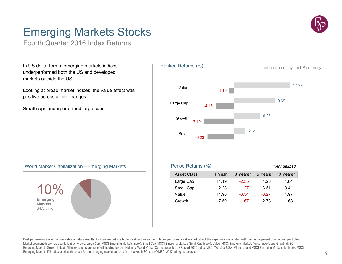## Emerging Markets Stocks

Fourth Quarter 2016 Index Returns

In US dollar terms, emerging markets indices underperformed both the US and developed markets outside the US.

Looking at broad market indices, the value effect was positive across all size ranges.

Small caps underperformed large caps.





Past performance is not a guarantee of future results. Indices are not available for direct investment. Index performance does not reflect the expenses associated with the management of an actual portfolio. Market segment (index representation) as follows: Large Cap (MSCI Emerging Markets Index), Small Cap (MSCI Emerging Markets Small Cap Index), Value (MSCI Emerging Markets Value Index), and Growth (MSCI Emerging Markets Growth Index). All index returns are net of withholding tax on dividends. World Market Cap represented by Russell 3000 Index, MSCI World ex USA IMI Index, and MSCI Emerging Markets IMI Index. MSCI Emerging Markets IMI Index used as the proxy for the emerging market portion of the market. MSCI data © MSCI 2017, all rights reserved.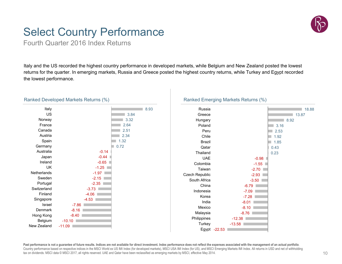## Select Country Performance

Fourth Quarter 2016 Index Returns

Italy and the US recorded the highest country performance in developed markets, while Belgium and New Zealand posted the lowest returns for the quarter. In emerging markets, Russia and Greece posted the highest country returns, while Turkey and Egypt recorded the lowest performance.



#### Ranked Developed Markets Returns (%)





**Past performance is not a guarantee of future results. Indices are not available for direct investment. Index performance does not reflect the expenses associated with the management of an actual portfolio**. Country performance based on respective indices in the MSCI World ex US IMI Index (for developed markets), MSCI USA IMI Index (for US), and MSCI Emerging Markets IMI Index. All returns in USD and net of withholding tax on dividends. MSCI data © MSCI 2017, all rights reserved. UAE and Qatar have been reclassified as emerging markets by MSCI, effective May 2014.

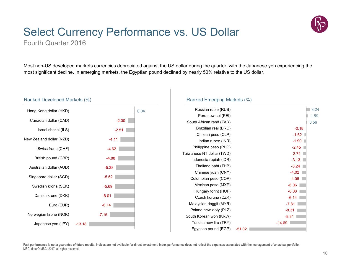

## Select Currency Performance vs. US Dollar

Fourth Quarter 2016

Most non-US developed markets currencies depreciated against the US dollar during the quarter, with the Japanese yen experiencing the most significant decline. In emerging markets, the Egyptian pound declined by nearly 50% relative to the US dollar.



#### Ranked Emerging Markets (%)

| Russian ruble (RUB)       |          | 3.24     |
|---------------------------|----------|----------|
| Peru new sol (PEI)        |          | 1.59     |
| South African rand (ZAR)  |          | 0.56     |
| Brazilian real (BRC)      |          | $-0.18$  |
| Chilean peso (CLP)        |          | $-1.62$  |
| Indian rupee (INR)        |          | $-1.90$  |
| Philippine peso (PHP)     |          | $-2.45$  |
| Taiwanese NT dollar (TWD) |          | $-2.74$  |
| Indonesia rupiah (IDR)    |          | $-3.13$  |
| Thailand baht (THB)       |          | $-3.24$  |
| Chinese yuan (CNY)        |          | $-4.02$  |
| Colombian peso (COP)      |          | $-4.06$  |
| Mexican peso (MXP)        |          | $-6.06$  |
| Hungary forint (HUF)      |          | $-6.08$  |
| Czech koruna (CZK)        |          | $-6.14$  |
| Malaysian ringgit (MYR)   |          | $-7.81$  |
| Poland new zloty (PLZ)    |          | $-8.31$  |
| South Korean won (KRW)    |          | $-8.81$  |
| Turkish new lira (TRY)    |          | $-14.69$ |
| Egyptian pound (EGP)      | $-51.02$ |          |
|                           |          |          |

Past performance is not a guarantee of future results. Indices are not available for direct investment. Index performance does not reflect the expenses associated with the management of an actual portfolio. MSCI data © MSCI 2017, all rights reserved.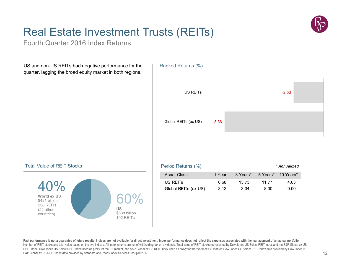

## Real Estate Investment Trusts (REITs)

Fourth Quarter 2016 Index Returns

US and non-US REITs had negative performance for the quarter, lagging the broad equity market in both regions.



#### Total Value of REIT Stocks



| Period Returns (%)   |        |          |       | * Annualized       |
|----------------------|--------|----------|-------|--------------------|
| <b>Asset Class</b>   | 1 Year | 3 Years* |       | 5 Years* 10 Years* |
| US REITS             | 6.68   | 13.73    | 11 77 | 4.63               |
| Global REITs (ex US) | 3.12   | 3.34     | 8.30  | 0.00               |

Past performance is not a guarantee of future results. Indices are not available for direct investment. Index performance does not reflect the expenses associated with the management of an actual portfolio. Number of REIT stocks and total value based on the two indices. All index returns are net of withholding tax on dividends. Total value of REIT stocks represented by Dow Jones US Select REIT Index and the S&P Global ex US REIT Index. Dow Jones US Select REIT Index used as proxy for the US market, and S&P Global ex US REIT Index used as proxy for the World ex US market. Dow Jones US Select REIT Index data provided by Dow Jones ©. S&P Global ex US REIT Index data provided by Standard and Poor's Index Services Group © 2017.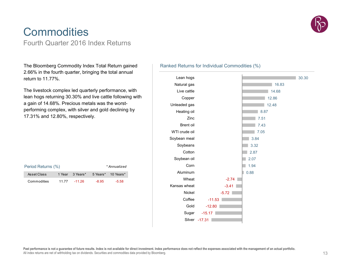

### **Commodities** Fourth Quarter 2016 Index Returns

The Bloomberg Commodity Index Total Return gained 2.66% in the fourth quarter, bringing the total annual return to 11.77%.

The livestock complex led quarterly performance, with lean hogs returning 30.30% and live cattle following with a gain of 14.68%. Precious metals was the worstperforming complex, with silver and gold declining by 17.31% and 12.80%, respectively.

| Period Returns (%) |       | * Annualized    |         |                    |
|--------------------|-------|-----------------|---------|--------------------|
| Asset Class        |       | 1 Year 3 Years* |         | 5 Years* 10 Years* |
| Commodities        | 11 77 | $-11.26$        | $-8.95$ | $-5.58$            |

#### Ranked Returns for Individual Commodities (%)

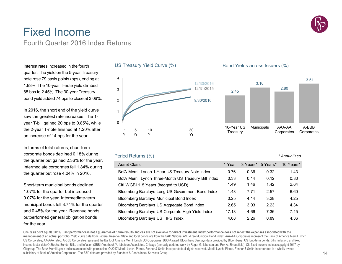

### Fixed IncomeFourth Quarter 2016 Index Returns

Interest rates increased in the fourth quarter. The yield on the 5-year Treasury note rose 79 basis points (bps), ending at 1.93%. The 10-year T-note yield climbed 85 bps to 2.45%. The 30-year Treasury bond yield added 74 bps to close at 3.06%.

In 2016, the short end of the yield curve saw the greatest rate increases. The 1 year T-bill gained 20 bps to 0.85%, while the 2-year T-note finished at 1.20% after an increase of 14 bps for the year.

In terms of total returns, short-term corporate bonds declined 0.18% during the quarter but gained 2.36% for the year. Intermediate corporates fell 1.84% during the quarter but rose 4.04% in 2016.

Short-term municipal bonds declined 1.07% for the quarter but increased 0.07% for the year. Intermediate-term municipal bonds fell 3.74% for the quarter and 0.45% for the year. Revenue bonds outperformed general obligation bonds for the year.



### Bond Yields across Issuers (%)



*\* Annualized*

#### Period Returns (%)

#### Asset Class 1 Year 3 Years 3 Years 3 Years 3 Years 3 Years 3 Years 3 Years 3 Years 3 Years 3 Years 3 Years 3 Years 3 Years 3 Years 3 Years 3 Years 3 Years 3 Years 3 Years 3 Years 3 Years 3 Years 3 Years 3 Years 3 Years 3 Y 3 Years\* 5 Years\* 10 Years\* BofA Merrill Lynch 1-Year US Treasury Note Index  $0.76$  0.36 0.32 1.43 BofA Merrill Lynch Three-Month US Treasury Bill Index 0.33 0.14 0.12 0.80 Citi WGBI 1–5 Years (hedged to USD) 1.49 1.46 1.42 2.64 Bloomberg Barclays Long US Government Bond Index 1.43 7.71 2.57 6.60 Bloomberg Barclays Municipal Bond Index 0.25 4.14 3.28 4.25 Bloomberg Barclays US Aggregate Bond Index 2.65 3.03 2.23 4.34 Bloomberg Barclays US Corporate High Yield Index 17.13 4.66 7.36 7.45 Bloomberg Barclays US TIPS Index  $4.68$   $2.26$  0.89  $4.36$

One basis point equals 0.01%. Past performance is not a guarantee of future results. Indices are not available for direct investment. Index performance does not reflect the expenses associated with the **management of an actual portfolio.** Yield curve data from Federal Reserve. State and local bonds are from the S&P National AMT-Free Municipal Bond Index. AAA-AA Corporates represent the Bank of America Merrill Lynch US Corporates, AA-AAA rated. A-BBB Corporates represent the Bank of America Merrill Lynch US Corporates, BBB-A rated. Bloomberg Barclays data provided by Bloomberg. US long-term bonds, bills, inflation, and fixed income factor data © Stocks, Bonds, Bills, and Inflation (SBBI) Yearbook™, Ibbotson Associates, Chicago (annually updated work by Roger G. Ibbotson and Rex A. Sinquefield). Citi fixed income indices copyright 2017 by Citigroup. The BofA Merrill Lynch Indices are used with permission: © 2017 Merrill Lynch, Pierce, Fenner & Smith Incorporated; all rights reserved. Merrill Lynch, Pierce, Fenner & Smith Incorporated is a wholly owned subsidiary of Bank of America Corporation. The S&P data are provided by Standard & Poor's Index Services Group.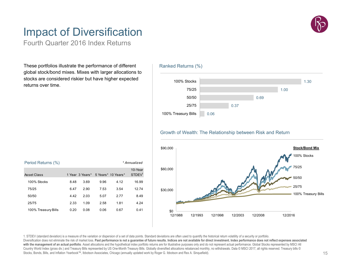### Impact of Diversification

Fourth Quarter 2016 Index Returns

These portfolios illustrate the performance of different global stock/bond mixes. Mixes with larger allocations to stocks are considered riskier but have higher expected returns over time.

| Period Returns (%)<br>* Annualized |      |                 |      |                    |                               |
|------------------------------------|------|-----------------|------|--------------------|-------------------------------|
| Asset Class                        |      | 1 Year 3 Years* |      | 5 Years* 10 Years* | 10-Year<br>STDEV <sup>1</sup> |
| 100% Stocks                        | 8.48 | 3.69            | 9.96 | 4.12               | 16.99                         |
| 75/25                              | 6.47 | 290             | 7.53 | 3.54               | 12.74                         |
| 50/50                              | 4.42 | 2.03            | 5.07 | 2 7 7              | 8.49                          |
| 25/75                              | 2.33 | 1.09            | 2.58 | 1.81               | 4.24                          |
| 100% Treasury Bills                | 0.20 | 0.08            | 0.06 | 0.67               | 0.41                          |

#### Ranked Returns (%)



#### Growth of Wealth: The Relationship between Risk and Return



1. STDEV (standard deviation) is a measure of the variation or dispersion of a set of data points. Standard deviations are often used to quantify the historical return volatility of a security or portfolio. Diversification does not eliminate the risk of market loss. Past performance is not a guarantee of future results. Indices are not available for direct investment. Index performance does not reflect expenses associated with the management of an actual portfolio. Asset allocations and the hypothetical index portfolio returns are for illustrative purposes only and do not represent actual performance. Global Stocks represented by MSCI All Country World Index (gross div.) and Treasury Bills represented by US One-Month Treasury Bills. Globally diversified allocations rebalanced monthly, no withdrawals. Data © MSCI 2017, all rights reserved. Treasury bills © M Stocks, Bonds, Bills, and Inflation Yearbook™, Ibbotson Associates, Chicago (annually updated work by Roger G. Ibbotson and Rex A. Sinquefield).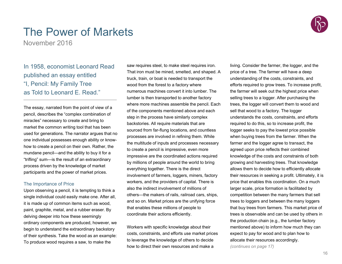

### The Power of Markets

November 2016

### In 1958, economist Leonard Read published an essay entitled "I, Pencil: My Family Tree as Told to Leonard E. Read."

The essay, narrated from the point of view of a pencil, describes the "complex combination of miracles" necessary to create and bring to market the common writing tool that has been used for generations. The narrator argues that no one individual possesses enough ability or knowhow to create a pencil on their own. Rather, the mundane pencil—and the ability to buy it for a "trifling" sum—is the result of an extraordinary process driven by the knowledge of market participants and the power of market prices.

#### The Importance of Price

Upon observing a pencil, it is tempting to think a single individual could easily make one. After all, it is made up of common items such as wood, paint, graphite, metal, and a rubber eraser. By delving deeper into how these seemingly ordinary components are produced, however, we begin to understand the extraordinary backstory of their synthesis. Take the wood as an example: To produce wood requires a saw, to make the

saw requires steel, to make steel requires iron. That iron must be mined, smelted, and shaped. A truck, train, or boat is needed to transport the wood from the forest to a factory where numerous machines convert it into lumber. The lumber is then transported to another factory where more machines assemble the pencil. Each of the components mentioned above and each step in the process have similarly complex backstories. All require materials that are sourced from far-flung locations, and countless processes are involved in refining them. While the multitude of inputs and processes necessary to create a pencil is impressive, even more impressive are the coordinated actions required by millions of people around the world to bring everything together. There is the direct involvement of farmers, loggers, miners, factory workers, and the providers of capital. There is also the indirect involvement of millions of others—the makers of rails, railroad cars, ships, and so on. Market prices are the unifying force that enables these millions of people to coordinate their actions efficiently.

Workers with specific knowledge about their costs, constraints, and efforts use market prices to leverage the knowledge of others to decide how to direct their own resources and make a

living. Consider the farmer, the logger, and the price of a tree. The farmer will have a deep understanding of the costs, constraints, and efforts required to grow trees. To increase profit, the farmer will seek out the highest price when selling trees to a logger. After purchasing the trees, the logger will convert them to wood and sell that wood to a factory. The logger understands the costs, constraints, and efforts required to do this, so to increase profit, the logger seeks to pay the lowest price possible when buying trees from the farmer. When the farmer and the logger agree to transact, the agreed upon price reflects their combined knowledge of the costs and constraints of both growing and harvesting trees. That knowledge allows them to decide how to efficiently allocate their resources in seeking a profit. Ultimately, it is price that enables this coordination. On a much larger scale, price formation is facilitated by competition between the many farmers that sell trees to loggers and between the many loggers that buy trees from farmers. This market price of trees is observable and can be used by others in the production chain (e.g., the lumber factory mentioned above) to inform how much they can expect to pay for wood and to plan how to allocate their resources accordingly.

*(continues on page 17)*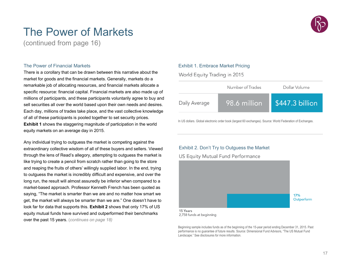### The Power of Markets

(continued from page 16)

#### The Power of Financial Markets

There is a corollary that can be drawn between this narrative about the market for goods and the financial markets. Generally, markets do a remarkable job of allocating resources, and financial markets allocate a specific resource: financial capital. Financial markets are also made up of millions of participants, and these participants voluntarily agree to buy and sell securities all over the world based upon their own needs and desires. Each day, millions of trades take place, and the vast collective knowledge of all of these participants is pooled together to set security prices. **Exhibit 1** shows the staggering magnitude of participation in the world equity markets on an average day in 2015.

Any individual trying to outguess the market is competing against the extraordinary collective wisdom of all of these buyers and sellers. Viewed through the lens of Read's allegory, attempting to outguess the market is like trying to create a pencil from scratch rather than going to the store and reaping the fruits of others' willingly supplied labor. In the end, trying to outguess the market is incredibly difficult and expensive, and over the long run, the result will almost assuredly be inferior when compared to a market-based approach. Professor Kenneth French has been quoted as saying, "The market is smarter than we are and no matter how smart we get, the market will always be smarter than we are." One doesn't have to look far for data that supports this. **Exhibit 2** shows that only 17% of US equity mutual funds have survived and outperformed their benchmarks over the past 15 years. (*continues on page 18)*

#### Exhibit 1. Embrace Market Pricing

World Equity Trading in 2015

|               | Number of Trades | Dollar Volume   |
|---------------|------------------|-----------------|
| Daily Average | 98.6 million     | \$447.3 billion |

In US dollars. Global electronic order book (largest 60 exchanges). Source: World Federation of Exchanges.

#### Exhibit 2. Don't Try to Outguess the Market

#### **US Equity Mutual Fund Performance**



<sup>2,758</sup> funds at beginning

Beginning sample includes funds as of the beginning of the 15-year period ending December 31, 2015. Past performance is no guarantee of future results. Source: Dimensional Fund Advisors, "The US Mutual Fund Landscape." See disclosures for more information.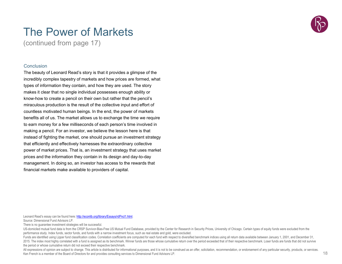

### The Power of Markets

(continued from page 17)

#### Conclusion

The beauty of Leonard Read's story is that it provides a glimpse of the incredibly complex tapestry of markets and how prices are formed, what types of information they contain, and how they are used. The story makes it clear that no single individual possesses enough ability or know-how to create a pencil on their own but rather that the pencil's miraculous production is the result of the collective input and effort of countless motivated human beings. In the end, the power of markets benefits all of us. The market allows us to exchange the time we require to earn money for a few milliseconds of each person's time involved in making a pencil. For an investor, we believe the lesson here is that instead of fighting the market, one should pursue an investment strategy that efficiently and effectively harnesses the extraordinary collective power of market prices. That is, an investment strategy that uses market prices and the information they contain in its design and day-to-day management. In doing so, an investor has access to the rewards that financial markets make available to providers of capital.

Leonard Read's essay can be found here: http://econlib.org/library/Essays/rdPncl1.html.

Source: Dimensional Fund Advisors LP.

There is no guarantee investment strategies will be successful.

US-domiciled mutual fund data is from the CRSP Survivor-Bias-Free US Mutual Fund Database, provided by the Center for Research in Security Prices, University of Chicago. Certain types of equity funds were excluded from the performance study. Index funds, sector funds, and funds with a narrow investment focus, such as real estate and gold, were excluded.

Funds are identified using Lipper fund classification codes. Correlation coefficients are computed for each fund with respect to diversified benchmark indices using all return data available between January 1, 2001, and De 2015. The index most highly correlated with a fund is assigned as its benchmark. Winner funds are those whose cumulative return over the period exceeded that of their respective benchmark. Loser funds are funds that did no the period or whose cumulative return did not exceed their respective benchmark.

All expressions of opinion are subject to change. This article is distributed for informational purposes, and it is not to be construed as an offer, solicitation, recommendation, or endorsement of any particular security, Ken French is a member of the Board of Directors for and provides consulting services to Dimensional Fund Advisors LP.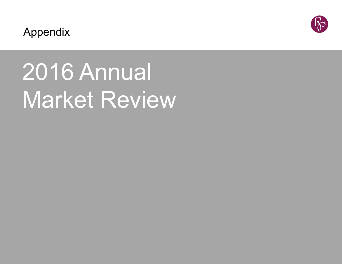

Appendix

# 2016 Annual Market Review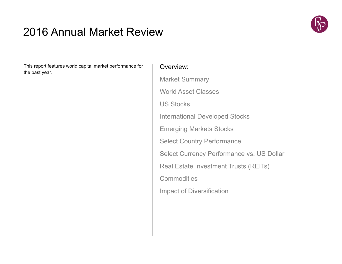### 2016 Annual Market Review



This report features world capital market performance for the past year.

### Overview:

Market Summary World Asset ClassesUS StocksInternational Developed Stocks Emerging Markets Stocks Select Country Performance Select Currency Performance vs. US Dollar Real Estate Investment Trusts (REITs) **Commodities** Impact of Diversification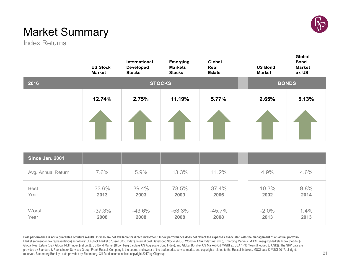

### Market Summary

Index Returns

|                     | <b>US Stock</b><br><b>Market</b> | International<br><b>Developed</b><br><b>Stocks</b> | <b>Emerging</b><br><b>Markets</b><br><b>Stocks</b> | Global<br>Real<br><b>Estate</b> | <b>US Bond</b><br><b>Market</b> | Global<br><b>Bond</b><br><b>Market</b><br>ex US |
|---------------------|----------------------------------|----------------------------------------------------|----------------------------------------------------|---------------------------------|---------------------------------|-------------------------------------------------|
| 2016                |                                  |                                                    | <b>STOCKS</b>                                      |                                 |                                 | <b>BONDS</b>                                    |
|                     | 12.74%                           | 2.75%                                              | 11.19%                                             | 5.77%                           | 2.65%                           | 5.13%                                           |
|                     |                                  |                                                    |                                                    |                                 |                                 |                                                 |
| Since Jan. 2001     |                                  |                                                    |                                                    |                                 |                                 |                                                 |
| Avg. Annual Return  | 7.6%                             | 5.9%                                               | 13.3%                                              | 11.2%                           | 4.9%                            | 4.6%                                            |
| <b>Best</b><br>Year | 33.6%<br>2013                    | 39.4%<br>2003                                      | 78.5%<br>2009                                      | 37.4%<br>2006                   | 10.3%<br>2002                   | 9.8%<br>2014                                    |
| Worst<br>Year       | $-37.3%$<br>2008                 | $-43.6%$<br>2008                                   | $-53.3%$<br>2008                                   | $-45.7%$<br>2008                | $-2.0%$<br>2013                 | 1.4%<br>2013                                    |

Past performance is not a guarantee of future results. Indices are not available for direct investment. Index performance does not reflect the expenses associated with the management of an actual portfolio. Market segment (index representation) as follows: US Stock Market (Russell 3000 Index), International Developed Stocks (MSCI World ex USA Index [net div.]), Emerging Markets (MSCI Emerging Markets Index [net div.]), Global Real Estate (S&P Global REIT Index [net div.]), US Bond Market (Bloomberg Barclays US Aggregate Bond Index), and Global Bond ex US Market (Citi WGBI ex USA 1-30 Years [Hedged to USD]). The S&P data are provided by Standard & Poor's Index Services Group. Frank Russell Company is the source and owner of the trademarks, service marks, and copyrights related to the Russell Indexes. MSCI data © MSCI 2017, all rights reserved. Bloomberg Barclays data provided by Bloomberg. Citi fixed income indices copyright 2017 by Citigroup.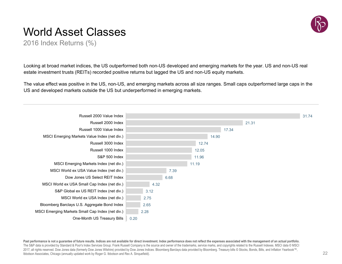### World Asset Classes



2016 Index Returns (%)

Looking at broad market indices, the US outperformed both non-US developed and emerging markets for the year. US and non-US real estate investment trusts (REITs) recorded positive returns but lagged the US and non-US equity markets.

The value effect was positive in the US, non-US, and emerging markets across all size ranges. Small caps outperformed large caps in the US and developed markets outside the US but underperformed in emerging markets.



Past performance is not a guarantee of future results. Indices are not available for direct investment. Index performance does not reflect the expenses associated with the management of an actual portfolio. The S&P data is provided by Standard & Poor's Index Services Group. Frank Russell Company is the source and owner of the trademarks, service marks, and copyrights related to the Russell Indexes. MSCI data © MSCI 2017, all rights reserved. Dow Jones data (formerly Dow Jones Wilshire) provided by Dow Jones Indices. Bloomberg Barclays data provided by Bloomberg. Treasury bills © Stocks, Bonds, Bills, and Inflation Yearbook™, Ibbotson Associates, Chicago (annually updated work by Roger G. Ibbotson and Rex A. Sinquefield).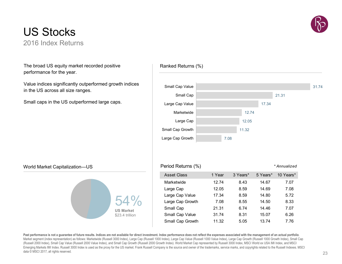

### US Stocks2016 Index Returns

The broad US equity market recorded positive performance for the year.

Value indices significantly outperformed growth indices in the US across all size ranges.

Small caps in the US outperformed large caps.



### World Market Capitalization—US **Period Returns (%)** <sup>P</sup> Period Returns (%)



| Period Returns (%) |        |          |          | * Annualized |
|--------------------|--------|----------|----------|--------------|
| <b>Asset Class</b> | 1 Year | 3 Years* | 5 Years* | 10 Years*    |
| Marketwide         | 12.74  | 8.43     | 14.67    | 7.07         |
| Large Cap          | 12.05  | 8.59     | 14.69    | 7.08         |
| Large Cap Value    | 17.34  | 8.59     | 14.80    | 5.72         |
| Large Cap Growth   | 7.08   | 8.55     | 14.50    | 8.33         |
| Small Cap          | 21.31  | 6.74     | 14.46    | 7.07         |
| Small Cap Value    | 31.74  | 8.31     | 15.07    | 6.26         |
| Small Cap Growth   | 11.32  | 5.05     | 13.74    | 7.76         |

Past performance is not a quarantee of future results. Indices are not available for direct investment. Index performance does not reflect the expenses associated with the management of an actual portfolio. Market segment (index representation) as follows: Marketwide (Russell 3000 Index), Large Cap (Russell 1000 Index), Large Cap Value (Russell 1000 Value Index), Large Cap Growth (Russell 1000 Growth Index), Small Cap (Russell 2000 Index), Small Cap Value (Russell 2000 Value Index), and Small Cap Growth (Russell 2000 Growth Index). World Market Cap represented by Russell 3000 Index, MSCI World ex USA IMI Index, and MSCI Emerging Markets IMI Index. Russell 3000 Index is used as the proxy for the US market. Frank Russell Company is the source and owner of the trademarks, service marks, and copyrights related to the Russell Indexes. MSCI data © MSCI 2017, all rights reserved.

### Ranked Returns (%)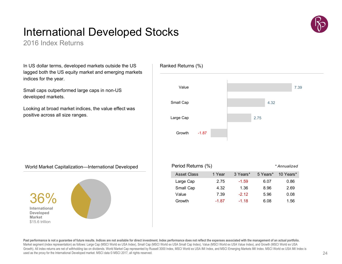## International Developed Stocks

2016 Index Returns

In US dollar terms, developed markets outside the US lagged both the US equity market and emerging markets indices for the year.

Small caps outperformed large caps in non-US developed markets.

Looking at broad market indices, the value effect was positive across all size ranges.



World Market Capitalization—International Developed

36%**International Developed Market** \$15.6 trillion



| Value              |         |          |          | 7.39         |
|--------------------|---------|----------|----------|--------------|
|                    |         |          |          |              |
| Small Cap          |         |          | 4.32     |              |
| Large Cap          |         |          | 2.75     |              |
|                    |         |          |          |              |
| Growth<br>$-1.87$  |         |          |          |              |
|                    |         |          |          |              |
|                    |         |          |          |              |
| Period Returns (%) |         |          |          | * Annualized |
| <b>Asset Class</b> | 1 Year  | 3 Years* | 5 Years* | 10 Years*    |
| Large Cap          | 2.75    | $-1.59$  | 6.07     | 0.86         |
| Small Cap          | 4.32    | 1.36     | 8.96     | 2.69         |
| Value              | 7.39    | $-2.12$  | 5.96     | 0.08         |
| Growth             | $-1.87$ | $-1.18$  | 6.08     | 1.56         |

Ranked Returns (%)

Past performance is not a quarantee of future results. Indices are not available for direct investment. Index performance does not reflect the expenses associated with the management of an actual portfolio. Market segment (index representation) as follows: Large Cap (MSCI World ex USA Index), Small Cap (MSCI World ex USA Small Cap Index), Value (MSCI World ex USA Value Index), and Growth (MSCI World ex USA Growth). All index returns are net of withholding tax on dividends. World Market Cap represented by Russell 3000 Index, MSCI World ex USA IMI Index, and MSCI Emerging Markets IMI Index. MSCI World ex USA IMI Index is used as the proxy for the International Developed market. MSCI data © MSCI 2017, all rights reserved.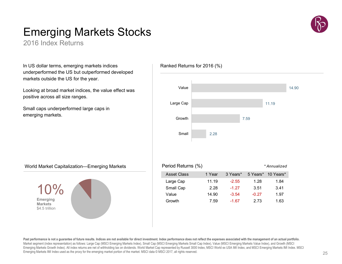### Emerging Markets Stocks

2016 Index Returns

In US dollar terms, emerging markets indices underperformed the US but outperformed developed markets outside the US for the year.

Looking at broad market indices, the value effect was positive across all size ranges.

Small caps underperformed large caps in emerging markets.





Past performance is not a guarantee of future results. Indices are not available for direct investment. Index performance does not reflect the expenses associated with the management of an actual portfolio. Market segment (index representation) as follows: Large Cap (MSCI Emerging Markets Index), Small Cap (MSCI Emerging Markets Small Cap Index), Value (MSCI Emerging Markets Value Index), and Growth (MSCI Emerging Markets Growth Index). All index returns are net of withholding tax on dividends. World Market Cap represented by Russell 3000 Index, MSCI World ex USA IMI Index, and MSCI Emerging Markets IMI Index. MSCI Emerging Markets IMI Index used as the proxy for the emerging market portion of the market. MSCI data © MSCI 2017, all rights reserved.



Ranked Returns for 2016 (%)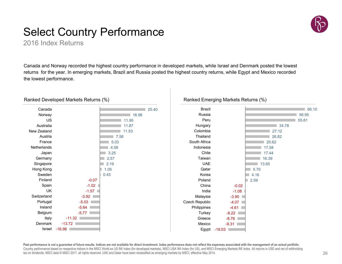### Select Country Performance

2016 Index Returns

Canada and Norway recorded the highest country performance in developed markets, while Israel and Denmark posted the lowest returns for the year. In emerging markets, Brazil and Russia posted the highest country returns, while Egypt and Mexico recorded the lowest performance.



#### Ranked Developed Markets Returns (%)



#### **Past performance is not a guarantee of future results. Indices are not available for direct investment. Index performance does not reflect the expenses associated with the management of an actual portfolio**. Country performance based on respective indices in the MSCI World ex US IMI Index (for developed markets), MSCI USA IMI Index (for US), and MSCI Emerging Markets IMI Index. All returns in USD and net of withholding tax on dividends. MSCI data © MSCI 2017, all rights reserved. UAE and Qatar have been reclassified as emerging markets by MSCI, effective May 2014.

Ranked Emerging Markets Returns (%)

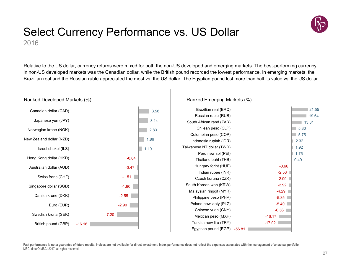

### Select Currency Performance vs. US Dollar 2016

Relative to the US dollar, currency returns were mixed for both the non-US developed and emerging markets. The best-performing currency in non-US developed markets was the Canadian dollar, while the British pound recorded the lowest performance. In emerging markets, the Brazilian real and the Russian ruble appreciated the most vs. the US dollar. The Egyptian pound lost more than half its value vs. the US dollar.



Past performance is not a guarantee of future results. Indices are not available for direct investment. Index performance does not reflect the expenses associated with the management of an actual portfolio. MSCI data © MSCI 2017, all rights reserved.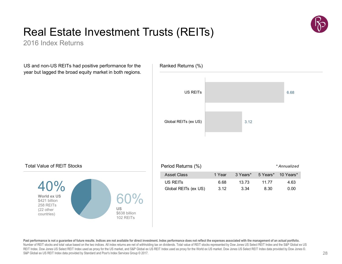

## Real Estate Investment Trusts (REITs)

2016 Index Returns

US and non-US REITs had positive performance for the year but lagged the broad equity market in both regions.



#### Total Value of REIT Stocks



Past performance is not a guarantee of future results. Indices are not available for direct investment. Index performance does not reflect the expenses associated with the management of an actual portfolio. Number of REIT stocks and total value based on the two indices. All index returns are net of withholding tax on dividends. Total value of REIT stocks represented by Dow Jones US Select REIT Index and the S&P Global ex US REIT Index. Dow Jones US Select REIT Index used as proxy for the US market, and S&P Global ex US REIT Index used as proxy for the World ex US market. Dow Jones US Select REIT Index data provided by Dow Jones ©. S&P Global ex US REIT Index data provided by Standard and Poor's Index Services Group © 2017.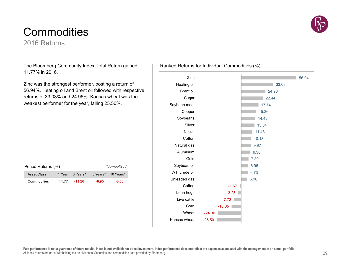#### Past performance is not a guarantee of future results. Index is not available for direct investment. Index performance does not reflect the expenses associated with the management of an actual portfolio. All index returns are net of withholding tax on dividends. Securities and commodities data provided by Bloomberg.

### **Commodities**

2016 Returns

The Bloomberg Commodity Index Total Return gained 11.77% in 2016.

Zinc was the strongest performer, posting a return of 56.94%. Heating oil and Brent oil followed with respective returns of 33.03% and 24.96%. Kansas wheat was the weakest performer for the year, falling 25.50%.

| Period Returns (%)<br>* Annualized |       |                 |       |                    |  |
|------------------------------------|-------|-----------------|-------|--------------------|--|
| Asset Class                        |       | 1 Year 3 Years* |       | 5 Years* 10 Years* |  |
| Commodities                        | 11 77 | $-11.26$        | -8.95 | $-5.58$            |  |

### Ranked Returns for Individual Commodities (%)